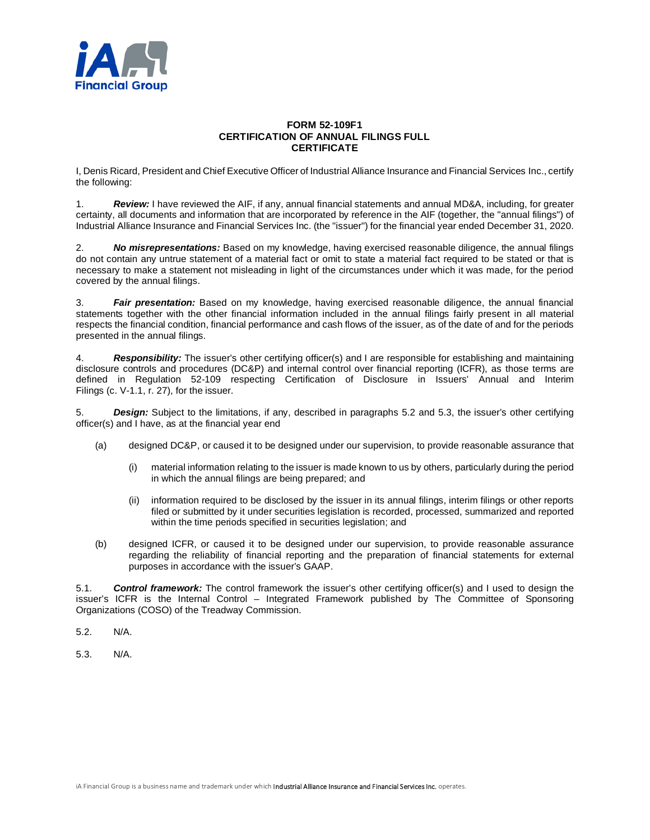

## **FORM 52-109F1 CERTIFICATION OF ANNUAL FILINGS FULL CERTIFICATE**

I, Denis Ricard, President and Chief Executive Officer of Industrial Alliance Insurance and Financial Services Inc., certify the following:

1. *Review:* I have reviewed the AIF, if any, annual financial statements and annual MD&A, including, for greater certainty, all documents and information that are incorporated by reference in the AIF (together, the "annual filings") of Industrial Alliance Insurance and Financial Services Inc. (the "issuer") for the financial year ended December 31, 2020.

2. *No misrepresentations:* Based on my knowledge, having exercised reasonable diligence, the annual filings do not contain any untrue statement of a material fact or omit to state a material fact required to be stated or that is necessary to make a statement not misleading in light of the circumstances under which it was made, for the period covered by the annual filings.

3. *Fair presentation:* Based on my knowledge, having exercised reasonable diligence, the annual financial statements together with the other financial information included in the annual filings fairly present in all material respects the financial condition, financial performance and cash flows of the issuer, as of the date of and for the periods presented in the annual filings.

4. *Responsibility:* The issuer's other certifying officer(s) and I are responsible for establishing and maintaining disclosure controls and procedures (DC&P) and internal control over financial reporting (ICFR), as those terms are defined in Regulation 52-109 respecting Certification of Disclosure in Issuers' Annual and Interim Filings (c. V-1.1, r. 27), for the issuer.

5. *Design:* Subject to the limitations, if any, described in paragraphs 5.2 and 5.3, the issuer's other certifying officer(s) and I have, as at the financial year end

- (a) designed DC&P, or caused it to be designed under our supervision, to provide reasonable assurance that
	- (i) material information relating to the issuer is made known to us by others, particularly during the period in which the annual filings are being prepared; and
	- (ii) information required to be disclosed by the issuer in its annual filings, interim filings or other reports filed or submitted by it under securities legislation is recorded, processed, summarized and reported within the time periods specified in securities legislation; and
- (b) designed ICFR, or caused it to be designed under our supervision, to provide reasonable assurance regarding the reliability of financial reporting and the preparation of financial statements for external purposes in accordance with the issuer's GAAP.

5.1. *Control framework:* The control framework the issuer's other certifying officer(s) and I used to design the issuer's ICFR is the Internal Control – Integrated Framework published by The Committee of Sponsoring Organizations (COSO) of the Treadway Commission.

- 5.2. N/A.
- 5.3. N/A.